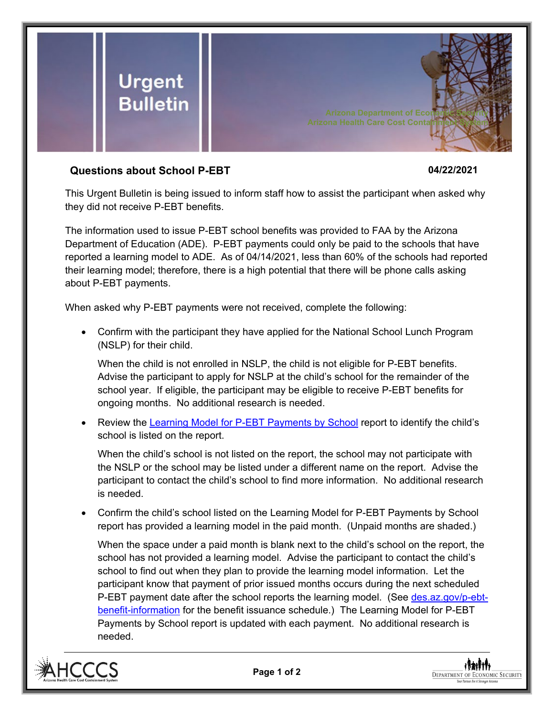

## **Questions about School P-EBT 04/22/2021**

This Urgent Bulletin is being issued to inform staff how to assist the participant when asked why they did not receive P-EBT benefits.

The information used to issue P-EBT school benefits was provided to FAA by the Arizona Department of Education (ADE). P-EBT payments could only be paid to the schools that have reported a learning model to ADE. As of 04/14/2021, less than 60% of the schools had reported their learning model; therefore, there is a high potential that there will be phone calls asking about P-EBT payments.

When asked why P-EBT payments were not received, complete the following:

• Confirm with the participant they have applied for the National School Lunch Program (NSLP) for their child.

When the child is not enrolled in NSLP, the child is not eligible for P-EBT benefits. Advise the participant to apply for NSLP at the child's school for the remainder of the school year. If eligible, the participant may be eligible to receive P-EBT benefits for ongoing months. No additional research is needed.

• Review the [Learning Model for P-EBT Payments by School](https://dbmefaapolicy.azdes.gov/FAA1/baggage/Learning_Model_P-EBT_Payments.pdf) report to identify the child's school is listed on the report.

When the child's school is not listed on the report, the school may not participate with the NSLP or the school may be listed under a different name on the report. Advise the participant to contact the child's school to find more information. No additional research is needed.

• Confirm the child's school listed on the Learning Model for P-EBT Payments by School report has provided a learning model in the paid month. (Unpaid months are shaded.)

When the space under a paid month is blank next to the child's school on the report, the school has not provided a learning model. Advise the participant to contact the child's school to find out when they plan to provide the learning model information. Let the participant know that payment of prior issued months occurs during the next scheduled P-EBT payment date after the school reports the learning model. (See [des.az.gov/p-ebt](https://des.az.gov/p-ebt-benefit-information)[benefit-information](https://des.az.gov/p-ebt-benefit-information) for the benefit issuance schedule.) The Learning Model for P-EBT Payments by School report is updated with each payment. No additional research is needed.